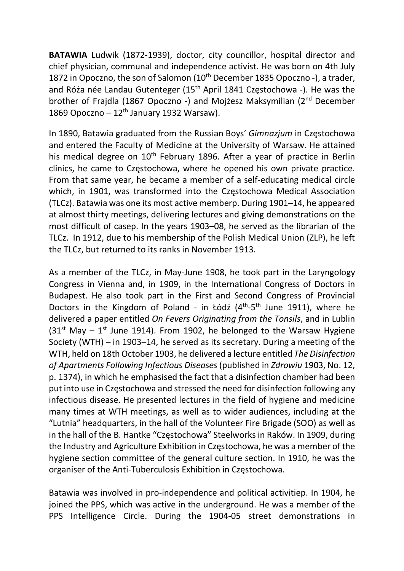BATAWIA Ludwik (1872-1939), doctor, city councillor, hospital director and chief physician, communal and independence activist. He was born on 4th July 1872 in Opoczno, the son of Salomon (10<sup>th</sup> December 1835 Opoczno -), a trader, and Róża née Landau Gutenteger (15<sup>th</sup> April 1841 Częstochowa -). He was the brother of Frajdla (1867 Opoczno -) and Mojżesz Maksymilian (2nd December 1869 Opoczno –  $12<sup>th</sup>$  January 1932 Warsaw).

In 1890, Batawia graduated from the Russian Boys' Gimnazjum in Częstochowa and entered the Faculty of Medicine at the University of Warsaw. He attained his medical degree on 10<sup>th</sup> February 1896. After a year of practice in Berlin clinics, he came to Częstochowa, where he opened his own private practice. From that same year, he became a member of a self-educating medical circle which, in 1901, was transformed into the Częstochowa Medical Association (TLCz). Batawia was one its most active memberp. During 1901–14, he appeared at almost thirty meetings, delivering lectures and giving demonstrations on the most difficult of casep. In the years 1903–08, he served as the librarian of the TLCz. In 1912, due to his membership of the Polish Medical Union (ZLP), he left the TLCz, but returned to its ranks in November 1913.

As a member of the TLCz, in May-June 1908, he took part in the Laryngology Congress in Vienna and, in 1909, in the International Congress of Doctors in Budapest. He also took part in the First and Second Congress of Provincial Doctors in the Kingdom of Poland - in Łódź  $(4<sup>th</sup>-5<sup>th</sup>$  June 1911), where he delivered a paper entitled On Fevers Originating from the Tonsils, and in Lublin  $(31<sup>st</sup>$  May –  $1<sup>st</sup>$  June 1914). From 1902, he belonged to the Warsaw Hygiene Society (WTH) – in 1903–14, he served as its secretary. During a meeting of the WTH, held on 18th October 1903, he delivered a lecture entitled The Disinfection of Apartments Following Infectious Diseases (published in Zdrowiu 1903, No. 12, p. 1374), in which he emphasised the fact that a disinfection chamber had been put into use in Częstochowa and stressed the need for disinfection following any infectious disease. He presented lectures in the field of hygiene and medicine many times at WTH meetings, as well as to wider audiences, including at the "Lutnia" headquarters, in the hall of the Volunteer Fire Brigade (SOO) as well as in the hall of the B. Hantke "Częstochowa" Steelworks in Raków. In 1909, during the Industry and Agriculture Exhibition in Częstochowa, he was a member of the hygiene section committee of the general culture section. In 1910, he was the organiser of the Anti-Tuberculosis Exhibition in Częstochowa.

Batawia was involved in pro-independence and political activitiep. In 1904, he joined the PPS, which was active in the underground. He was a member of the PPS Intelligence Circle. During the 1904-05 street demonstrations in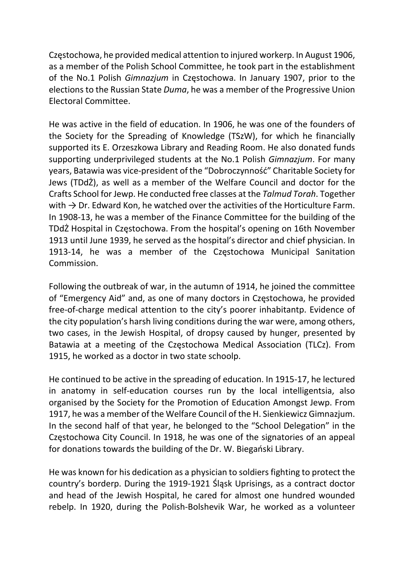Częstochowa, he provided medical attention to injured workerp. In August 1906, as a member of the Polish School Committee, he took part in the establishment of the No.1 Polish Gimnazjum in Częstochowa. In January 1907, prior to the elections to the Russian State Duma, he was a member of the Progressive Union Electoral Committee.

He was active in the field of education. In 1906, he was one of the founders of the Society for the Spreading of Knowledge (TSzW), for which he financially supported its E. Orzeszkowa Library and Reading Room. He also donated funds supporting underprivileged students at the No.1 Polish Gimnazium. For many years, Batawia was vice-president of the "Dobroczynność" Charitable Society for Jews (TDdŻ), as well as a member of the Welfare Council and doctor for the Crafts School for Jewp. He conducted free classes at the Talmud Torah. Together with  $\rightarrow$  Dr. Edward Kon, he watched over the activities of the Horticulture Farm. In 1908-13, he was a member of the Finance Committee for the building of the TDdŻ Hospital in Częstochowa. From the hospital's opening on 16th November 1913 until June 1939, he served as the hospital's director and chief physician. In 1913-14, he was a member of the Częstochowa Municipal Sanitation Commission.

Following the outbreak of war, in the autumn of 1914, he joined the committee of "Emergency Aid" and, as one of many doctors in Częstochowa, he provided free-of-charge medical attention to the city's poorer inhabitantp. Evidence of the city population's harsh living conditions during the war were, among others, two cases, in the Jewish Hospital, of dropsy caused by hunger, presented by Batawia at a meeting of the Częstochowa Medical Association (TLCz). From 1915, he worked as a doctor in two state schoolp.

He continued to be active in the spreading of education. In 1915-17, he lectured in anatomy in self-education courses run by the local intelligentsia, also organised by the Society for the Promotion of Education Amongst Jewp. From 1917, he was a member of the Welfare Council of the H. Sienkiewicz Gimnazjum. In the second half of that year, he belonged to the "School Delegation" in the Częstochowa City Council. In 1918, he was one of the signatories of an appeal for donations towards the building of the Dr. W. Biegański Library.

He was known for his dedication as a physician to soldiers fighting to protect the country's borderp. During the 1919-1921 Śląsk Uprisings, as a contract doctor and head of the Jewish Hospital, he cared for almost one hundred wounded rebelp. In 1920, during the Polish-Bolshevik War, he worked as a volunteer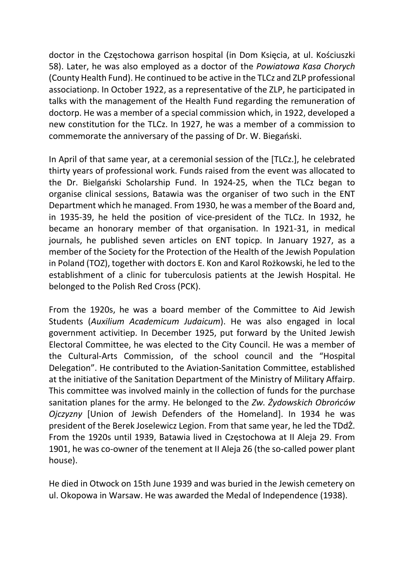doctor in the Częstochowa garrison hospital (in Dom Księcia, at ul. Kościuszki 58). Later, he was also employed as a doctor of the Powiatowa Kasa Chorych (County Health Fund). He continued to be active in the TLCz and ZLP professional associationp. In October 1922, as a representative of the ZLP, he participated in talks with the management of the Health Fund regarding the remuneration of doctorp. He was a member of a special commission which, in 1922, developed a new constitution for the TLCz. In 1927, he was a member of a commission to commemorate the anniversary of the passing of Dr. W. Biegański.

In April of that same year, at a ceremonial session of the [TLCz.], he celebrated thirty years of professional work. Funds raised from the event was allocated to the Dr. Bielgański Scholarship Fund. In 1924-25, when the TLCz began to organise clinical sessions, Batawia was the organiser of two such in the ENT Department which he managed. From 1930, he was a member of the Board and, in 1935-39, he held the position of vice-president of the TLCz. In 1932, he became an honorary member of that organisation. In 1921-31, in medical journals, he published seven articles on ENT topicp. In January 1927, as a member of the Society for the Protection of the Health of the Jewish Population in Poland (TOZ), together with doctors E. Kon and Karol Rożkowski, he led to the establishment of a clinic for tuberculosis patients at the Jewish Hospital. He belonged to the Polish Red Cross (PCK).

From the 1920s, he was a board member of the Committee to Aid Jewish Students (Auxilium Academicum Judaicum). He was also engaged in local government activitiep. In December 1925, put forward by the United Jewish Electoral Committee, he was elected to the City Council. He was a member of the Cultural-Arts Commission, of the school council and the "Hospital Delegation". He contributed to the Aviation-Sanitation Committee, established at the initiative of the Sanitation Department of the Ministry of Military Affairp. This committee was involved mainly in the collection of funds for the purchase sanitation planes for the army. He belonged to the Zw. Żydowskich Obrońców Ojczyzny [Union of Jewish Defenders of the Homeland]. In 1934 he was president of the Berek Joselewicz Legion. From that same year, he led the TDdŻ. From the 1920s until 1939, Batawia lived in Częstochowa at II Aleja 29. From 1901, he was co-owner of the tenement at II Aleja 26 (the so-called power plant house).

He died in Otwock on 15th June 1939 and was buried in the Jewish cemetery on ul. Okopowa in Warsaw. He was awarded the Medal of Independence (1938).